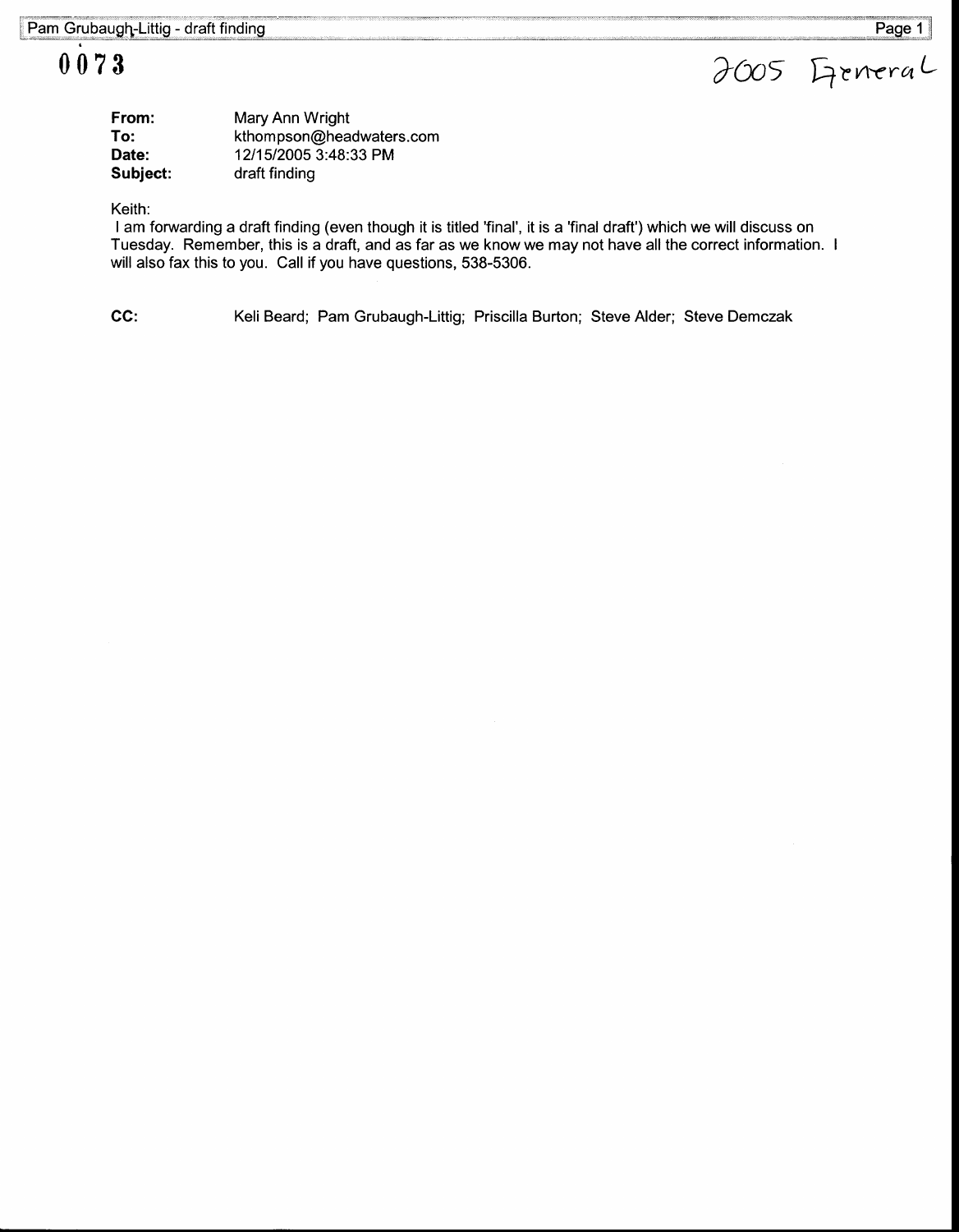# 0073

Page 1<br>JOOS FreneraL

| From:    | Mary Ann Wright          |
|----------|--------------------------|
| To:      | kthompson@headwaters.com |
| Date:    | 12/15/2005 3:48:33 PM    |
| Subject: | draft finding            |

Keith:

I am forwarding a draft finding (even though it is titled 'final', it is a 'final draft') which we will discuss on Tuesday. Remember, this is a draft, and as far as we know we may not have all the correct information. will also fax this to you. Call if you have questions, 538-5306.

GC: Keli Beard; Pam Grubaugh-Littig; Priscilla Burton; Steve Alder; Steve Demczak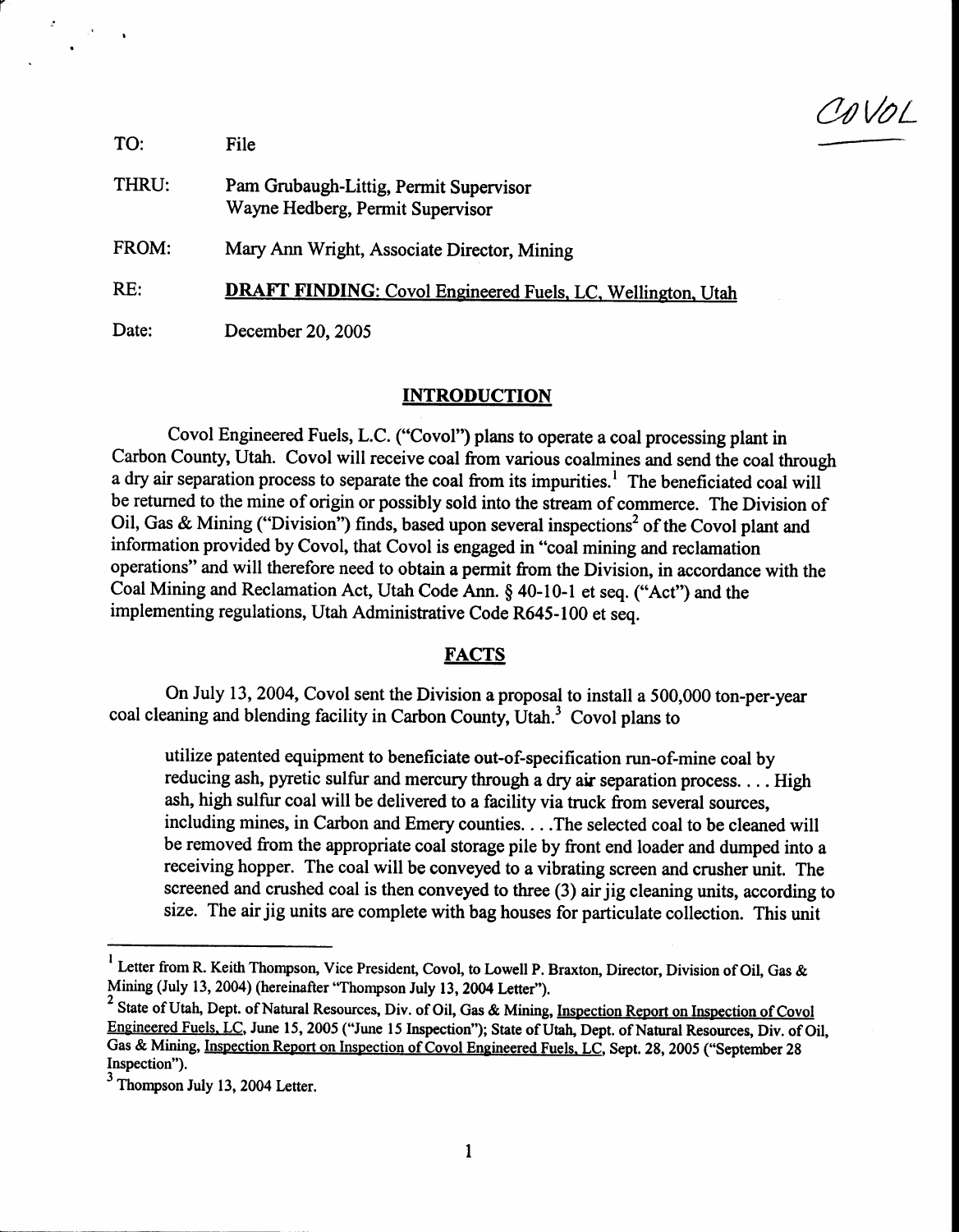CAVOL

TO: THRU: FROM: RE: Date: File Pam Grubaugh-Littig, Permit Supervisor Wayne Hedberg, Permit Supervisor Mary Ann Wright, Associate Director, Mining DRAFT FINDING: Covol Engineered Fuels. LC. Wellineton. Utah December 20,2005

## INTRODUCTION

Covol Engineered Fuels, L.C. ("Covol') plans to operate a coal processing plant in Carbon County, Utah. Covol will receive coal from various coalmines and send the coal through a dry air separation process to separate the coal from its impurities.<sup>1</sup> The beneficiated coal will be retumed to the mine of origin or possibly sold into the stream of commerce. The Division of Oil, Gas & Mining ("Division") finds, based upon several inspections<sup>2</sup> of the Covol plant and information provided by Covol, that Covol is engaged in "coal mining and reclamation operations" and will therefore need to obtain a permit from the Division, in accordance with the Coal Mining and Reclamation Act, Utah Code Ann. \$ 40-10-l et seq. ("Act") and the implementing regulations, Utah Administrative Code R645-100 et seq.

#### FACTS

On July 13, 2004, Covol sent the Division a proposal to install a 500,000 ton-per-year coal cleaning and blending facility in Carbon County, Utah.<sup>3</sup> Covol plans to

utilize patented equipment to beneficiate out-of-specification run-of-mine coal by reducing ash, pyretic sulfur and mercury through a dry air separation process. . . . High ash, high sulfur coal will be delivered to a facility via truck from several sources, including mines, in Carbon and Emery counties. . . . The selected coal to be cleaned will be removed from the appropriate coal storage pile by front end loader and dumped into a receiving hopper. The coal will be conveyed to a vibrating screen and crusher unit. The screened and crushed coal is then conveyed to three (3) air jig cleaning units, according to size. The air jig units are complete with bag houses for particulate collection. This unit

<sup>&</sup>lt;sup>1</sup> Letter from R. Keith Thompson, Vice President, Covol, to Lowell P. Braxton, Director, Division of Oil, Gas & Mining (July 13, 2004) (hereinafter "Thompson July 13, 2004 Letter").

<sup>&</sup>lt;sup>2</sup> State of Utah, Dept. of Natural Resources, Div. of Oil, Gas & Mining, Inspection Report on Inspection of Covol Engineered Fuels, LC, June 15, 2005 ("June 15 Inspection"); State of Utah, Dept. of Natural Resources, Div. of Oil, Gas & Mining, Inspection Report on Inspection of Covol Engineered Fuels, LC, Sept. 28, 2005 ("September 28 Inspection").

 $3$  Thompson July 13, 2004 Letter.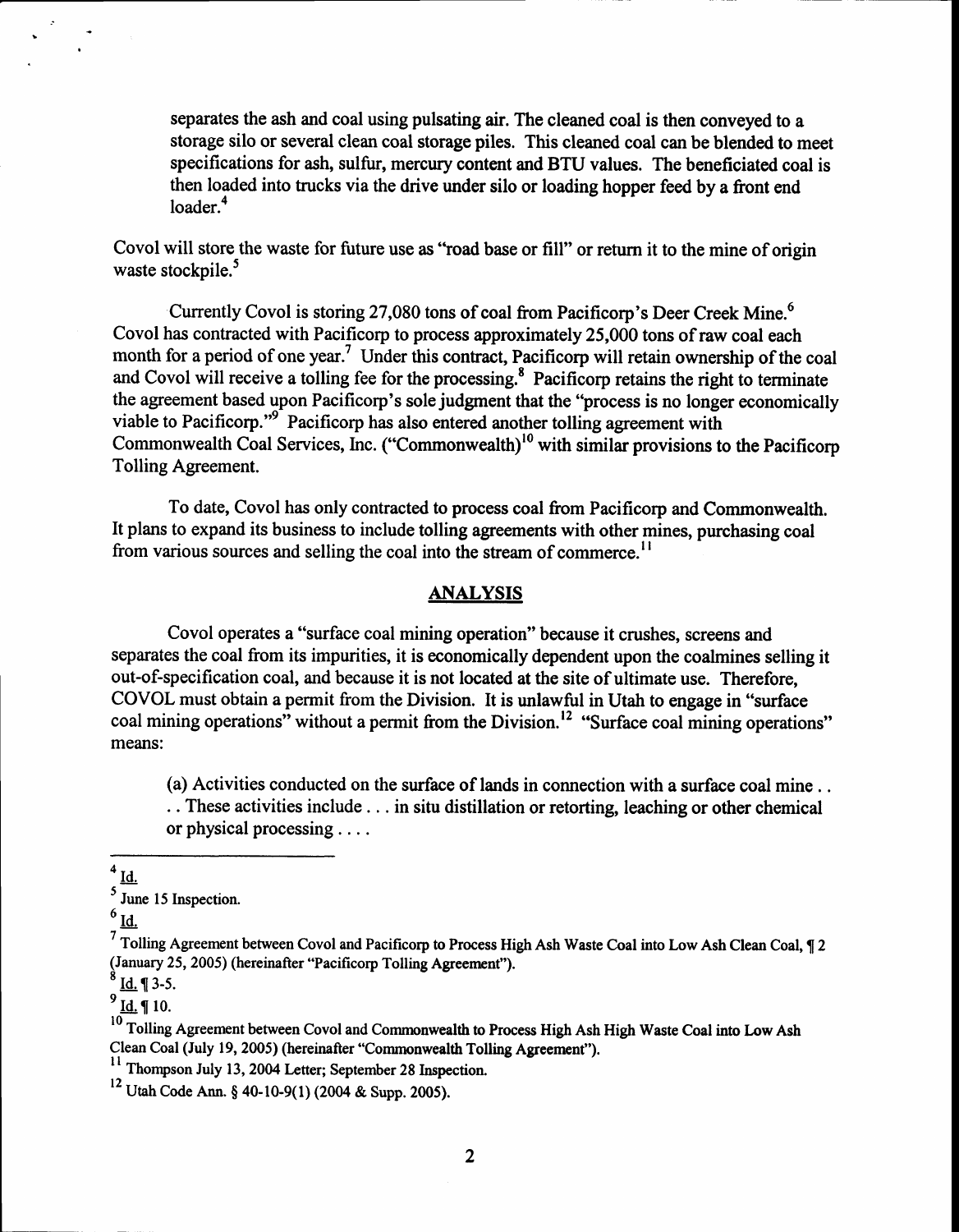separates the ash and coal using pulsating air. The cleaned coal is then conveyed to a storage silo or several clean coal storage piles. This cleaned coal can be blended to meet specifications for ash, sulfur, mercury content and BTU values. The beneficiated coal is then loaded into trucks via the drive under silo or loading hopper feed by a front end  $loader.<sup>4</sup>$ 

Covol will store the waste for future use as "road base or fiIl" or return it to the mine of origin waste stockpile. $5$ 

Currently Covol is storing 27,080 tons of coal from Pacificorp's Deer Creek Mine.<sup>6</sup> Covol has contracted with Pacificorp to process approximately 25,000 tons of raw coal each month for a period of one year.' Under this contract, Pacificorp will retain ownership of the coal and Covol will receive a tolling fee for the processing.<sup>8</sup> Pacificorp retains the right to terminate the agreement based upon Pacificorp's sole judgment that the "process is no longer economically viable to Pacificorp."<sup>9</sup> Pacificorp has also entered another tolling agreement with Commonwealth Coal Services, Inc. ("Commonwealth)<sup>10</sup> with similar provisions to the Pacificorp Tolling Agreement.

To date, Covol has only contracted to process coal from Pacificorp and Commonwealth. It plans to expand its business to include tolling agreements with other mines, purchasing coal from various sources and selling the coal into the stream of commerce.<sup>11</sup>

### ANALYSIS

Covol operates a "surface coal mining operation" because it crushes, screens and separates the coal from its impurities, it is economically dependent upon the coalmines selling it out-of-specification coal, and because it is not located at the site of ultimate use. Therefore, COVOL must obtain a permit from the Division. It is unlawful in Utah to engage in "surface coal mining operations" without a permit from the Division.<sup>12</sup> "Surface coal mining operations" means:

(a) Activities conducted on the surface of lands in connection with a surface coal mine . . . . These activities include . . . in situ distillation or retorting, leaching or other chemical or physical processing

 $9\overline{Id}$ .  $9\overline{10}$ .

 $10$  Tolling Agreement between Covol and Commonwealth to Process High Ash High Waste Coal into Low Ash Clean Coal (July 19, 2005) (hereinafter "Commonwealth Tolling Agreement").

 $4$  Id.

 $5 \frac{20}{\text{June}}$  15 Inspection.

 $^6$  <u>Id.</u>

 $7$  Tolling Agreement between Covol and Pacificorp to Process High Ash Waste Coal into Low Ash Clean Coal,  $12$ (January 25, 2005) (hereinafter "Pacificorp Tolling Agreement").

 $<sup>11</sup>$  Thompson July 13, 2004 Letter; September 28 Inspection.</sup>

 $^{12}$  Utah Code Ann. § 40-10-9(1) (2004 & Supp. 2005).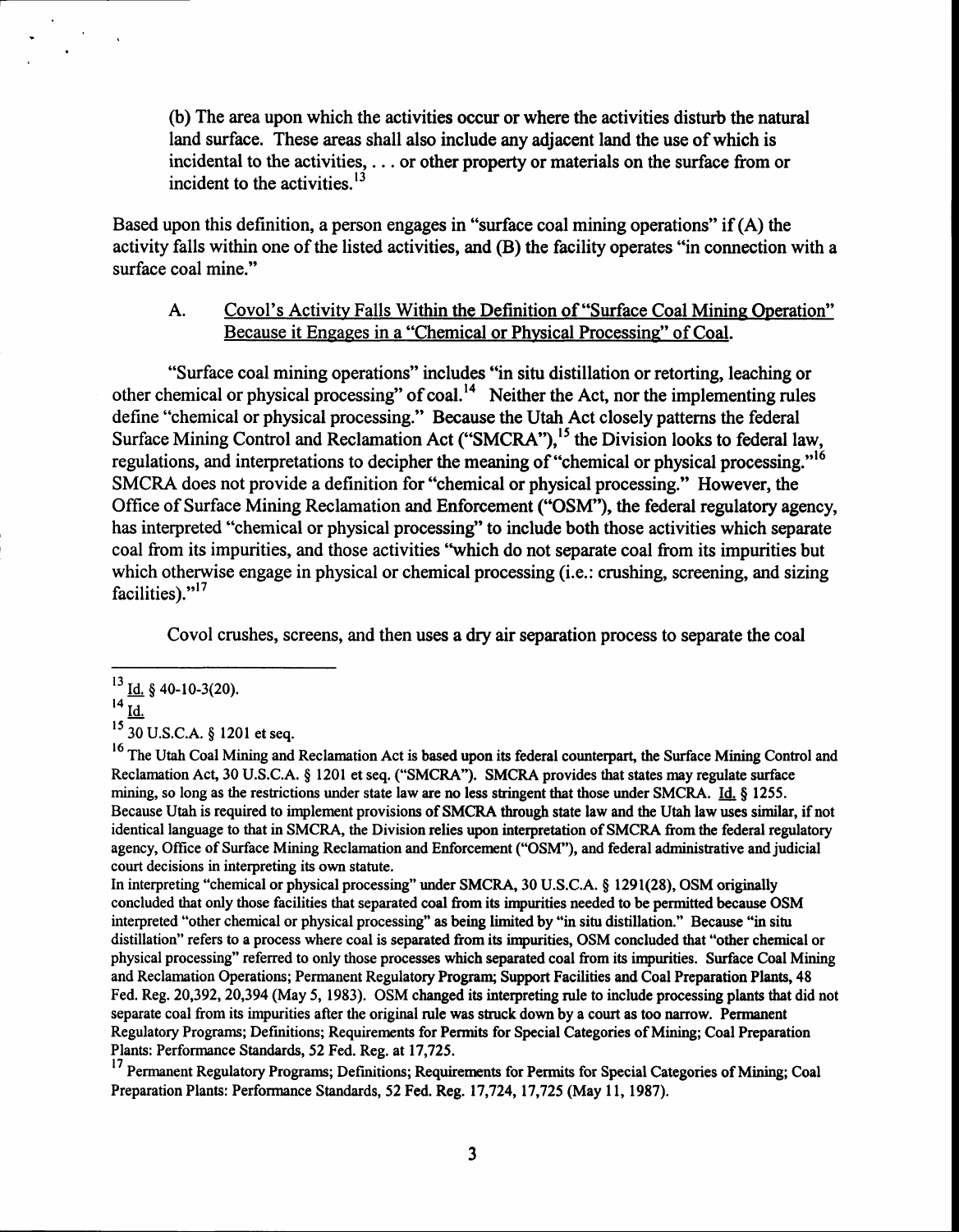(b) The area upon which the activities occur or where the activities disturb the natural land surface. These areas shall also include any adjacent land the use of which is incidental to the activities, . . . or other property or materials on the surface from or incident to the activities. $13$ 

Based upon this definition, a person engages in "surface coal mining operations" if (A) the activity falls within one of the listed activities, and (B) the facility operates "in connection with a surface coal mine."

#### A. Covol's Activity Falls Within the Definition of "Surface Coal Mining Operation" <u>Because it Engages in a</u> "Chemical or Physical Processing" of Coa

"Surface coal mining operations" includes "in situ distillation or retorting, leaching or other chemical or physical processing" of coal.<sup>14</sup> Neither the Act, nor the implementing rules define "chemical or physical processing." Because the Utah Act closely patterns the federal Surface Mining Control and Reclamation Act ("SMCRA"), <sup>15</sup> the Division looks to federal law, regulations, and interpretations to decipher the meaning of "chemical or physical processing."<sup>16</sup> SMCRA does not provide a definition for "chemical or physical processing." However, the Office of Surface Mining Reclamation and Enforcement ("OSM'), the federal regulatory agency, has interpreted "chemical or physical processing" to include both those activities which separate coal from its impurities, and those activities "which do not separate coal from its impurities but which otherwise engage in physical or chemical processing (i.e.: crushing, screening, and sizing facilities). $"17$ 

Covol crushes, screens, and then uses a dry air separation process to separate the coal

<sup>15</sup> 30 U.S.C.A. § 1201 et seq.

<sup>16</sup> The Utah Coal Mining and Reclamation Act is based upon its federal counterpart, the Surface Mining Control and Reclamation Act, 30 U.S.C.A. \$ l20l et seq. ("SMCRA"). SMCRA provides that states may regulate surface mining, so long as the restrictions under state law are no less stringent that those under SMCRA. Id.  $§$  1255. Because Utah is required to implement provisions of SMCRA through state law and the Utah law uses similar, if not identical language to that in SMCRA, the Division relies upon interpretation of SMCRA from the federal regulatory agency, Office of Surface Mining Reclamation and Enforcement ("OSM"), and federal administrative and judicial court decisions in interpreting its own statute.

In interpreting "chemical or physical processing" under SMCRA, 30 U.S.C.A. \$ 1291(28), OSM originally concluded that only those facilities that separated coal from its irpurities needed to be permitted because OSM interpreted "other chemical or physical processing' as being limited by \*in situ distillation." Because "in situ distillation" refers to a process where coal is separated from its impurities, OSM concluded that "other chemical or physical processing" referred to only those processes which separated coal from its impurities. Surface Coal Mining and Reclamation Operations; Permanent Regulatory Program; Support Facilities and Coal Preparation Plants, 48 Fed. Reg. 20,392,20,394 (May 5, 1983). OSM changed its interpreting rule to include processing plants that did not separate coal from its impurities after the original rule was sfruck down by a court as too narrow. Perrnanent Regulatory Programs; Definitions; Requirernents for Permits for Special Categories of Mining; Coal Preparation Plants: Perforrnance Standards,52 Fed. Reg. at 17,725.

<sup>17</sup> Permanent Regulatory Programs; Definitions; Requirements for Permits for Special Categories of Mining; Coal Preparation Plants: Performance Standards, 52 Fed. Reg. 17,724, 17,725 (May 11, 1987).

 $13$  Id. § 40-10-3(20).

 $14 \frac{L}{\underline{Id}}$ .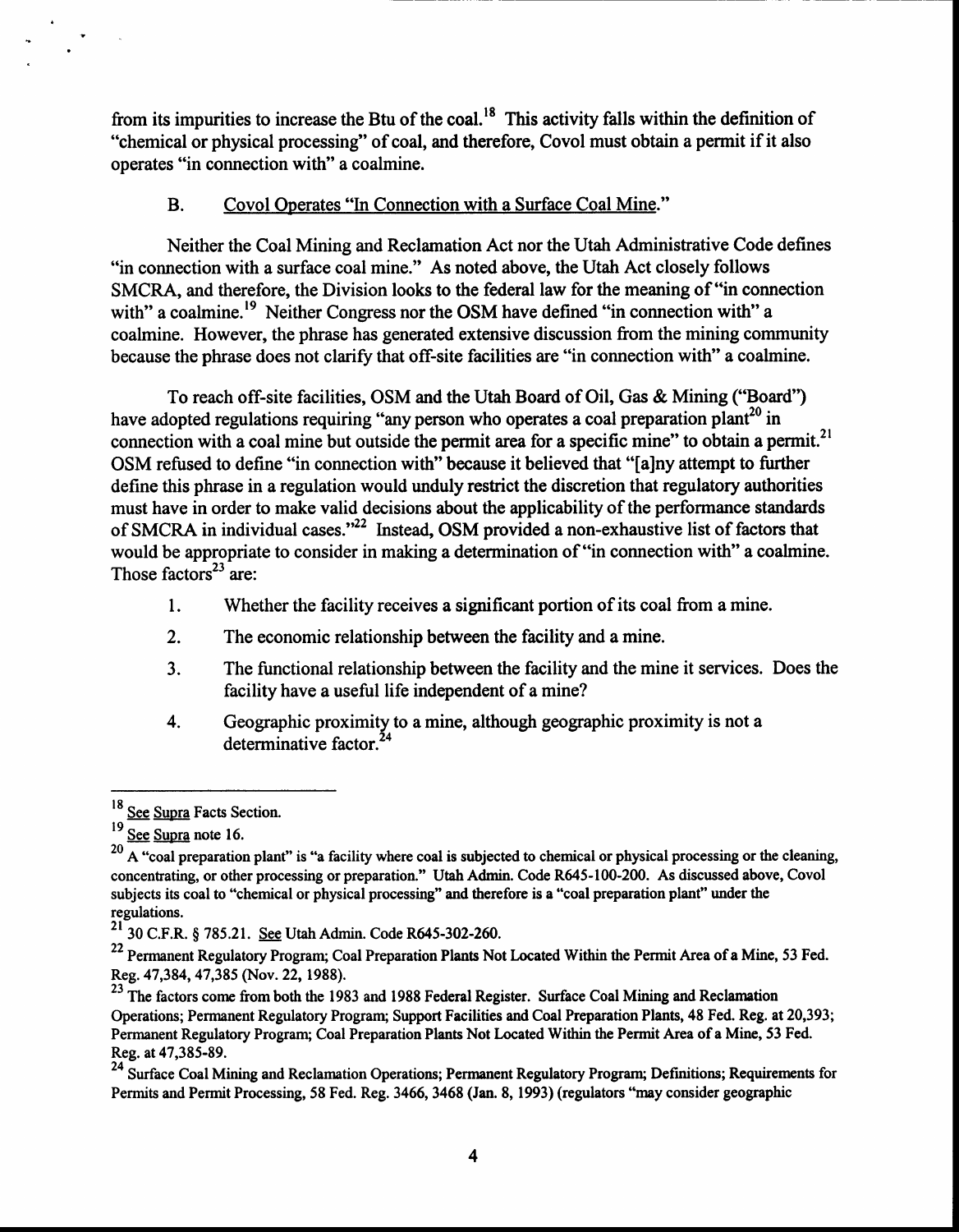from its impurities to increase the Btu of the coal.<sup>18</sup> This activity falls within the definition of "chemical or physical processing" of coal, and therefore, Covol must obtain a permit if it also operates "in connection with" a coalmine.

## B. Covol Operates "In Connection with a Surface Coal Mine."

Neither the Coal Mining and Reclamation Act nor the Utah Administrative Code defines "in connection with a surface coal mine." As noted above, the Utah Act closely follows SMCRA, and therefore, the Division looks to the federal law for the meaning of "in connection with" a coalmine.<sup>19</sup> Neither Congress nor the OSM have defined "in connection with" a coalmine. However, the phrase has generated extensive discussion from the mining conrmunity because the phrase does not clarify that off-site facilities are "in connection with" a coalmine.

To reach off-site facilities, OSM and the Utah Board of Oil, Gas & Mining ("Board') have adopted regulations requiring "any person who operates a coal preparation plant<sup>20</sup> in connection with a coal mine but outside the permit area for a specific mine" to obtain a permit.<sup>21</sup> OSM refused to define "in connection with" because it believed that "[a]ny attempt to further define this phrase in a regulation would unduly restrict the discretion that regulatory authorities must have in order to make valid decisions about the applicability of the performance standards of SMCRA in individual cases."<sup>22</sup> Instead, OSM provided a non-exhaustive list of factors that would be appropriate to consider in making a determination of "in connection with" a coalmine. Those factors $23$  are:

- l. Whether the facility receives a significant portion of its coal from a mine.
- 2. The economic relationship between the facility and a mine.
- 3. The functional relationship between the facility and the mine it services. Does the facility have a useful life independent of a mine?
- 4. Geographic proximity to a mine, although geographic proximity is not a determinative factor.<sup>24</sup>

<sup>&</sup>lt;sup>18</sup> See Supra Facts Section.

 $19 \overline{\text{See} \text{ Supra}}$  note 16.

 $20$  A "coal preparation plant" is "a facility where coal is subjected to chemical or physical processing or the cleaning, concentrating, or other processing or preparation." Utah Admin. Code R645-100-200. As discussed above, Covol subjects its coal to "chemical or physical processing" and therefore is a "coal preparation plant" under the regulations.

 $t^{21}$  30 C.F.R. § 785.21. See Utah Admin. Code R645-302-260.

<sup>&</sup>lt;sup>22</sup> Permanent Regulatory Program; Coal Preparation Plants Not Located Within the Permit Area of a Mine, 53 Fed. Reg. 47,384, 47,385 (Nov. 22, 1988).

<sup>&</sup>lt;sup>23</sup> The factors come from both the 1983 and 1988 Federal Register. Surface Coal Mining and Reclamation Operations; Permanent Regulatory Program; Support Facilities and Coal Preparation Plants, 48 Fed. Reg. at 20,393; Permanent Regulatory Program; Coal Preparation Plants Not Located Within the Permit Area of a Mine, 53 Fed. Reg. at 47,385-89.

<sup>&</sup>lt;sup>24</sup> Surface Coal Mining and Reclamation Operations; Permanent Regulatory Program; Definitions; Requirements for Permits and Permit Processing, 58 Fed. Reg. 3466, 3468 (Jan. 8, 1993) (regulators "msy consider geographic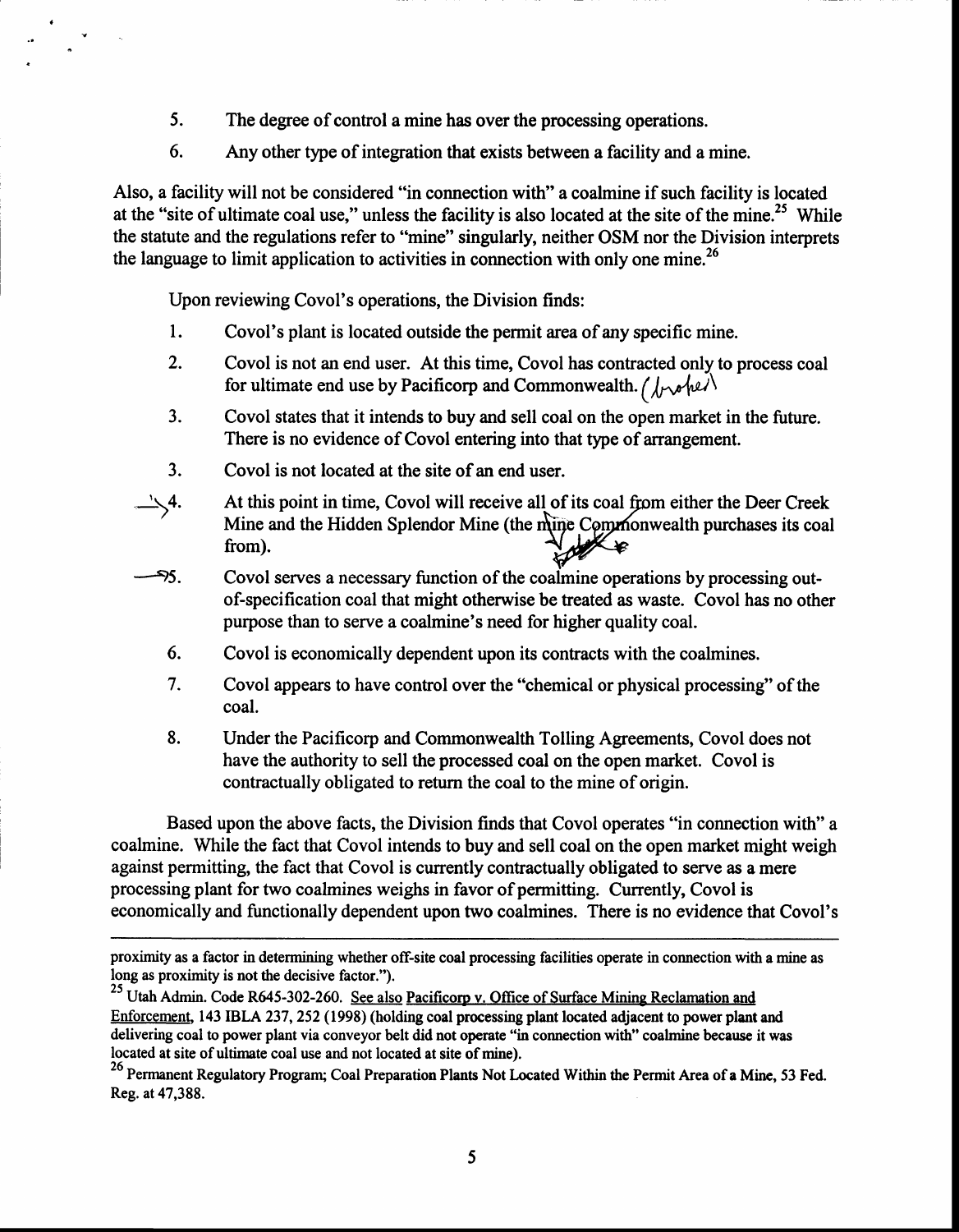- 5. The degree of control a mine has over the processing operations.
- 6. Any other type of integration that exists between a facility and a mine.

Also, a facility will not be considered "in connection with" a coalmine if such facility is located at the "site of ultimate coal use," unless the facility is also located at the site of the mine.<sup>25</sup> While the statute and the regulations refer to "mine" singularly, neither OSM nor the Division interprets the language to limit application to activities in connection with only one mine.<sup>26</sup>

Upon reviewing Covol's operations, the Division finds:

- l. Covol's plant is located outside the permit area of any specific mine.
- 2. Covol is not an end user. At this time, Covol has contracted only to process coal for ultimate end use by Pacificorp and Commonwealth.  $\int_{V} \rho \rho \rho \rho$
- 3. Covol states that it intends to buy and sell coal on the open market in the future. There is no evidence of Covol entering into that type of arrangement.
- 3. Covol is not located at the site of an end user.
- At this point in time, Covol will receive all of its coal from either the Deer Creek Mine and the Hidden Splendor Mine (the mine Commonwealth purchases its coal from).  $\rightarrow$ 4.
- $-55.$  Covol serves a necessary function of the coalmine operations by processing outof-specification coal that might otherwise be treated as waste. Covol has no other purpose than to serve a coalmine's need for higher quality coal.
	- 6. Covol is economically dependent upon its contracts with the coalmines.
	- 7. coal. Covol appears to have control over the "chemical or physical processing" of the
	- 8. Under the Pacificorp and Commonwealth Tolling Agreements, Covol does not have the authority to sell the processed coal on the open market. Covol is contractually obligated to return the coal to the mine of origin.

Based upon the above facts, the Division finds that Covol operates "in connection with" a coalmine. While the fact that Covol intends to buy and sell coal on the open market might weigh against permitting, the fact that Covol is currently contractually obligated to serve as a mere processing plant for two coalmines weighs in favor of permitting. Currently, Covol is economically and functionally dependent upon two coalmines. There is no evidence that Covol's

proximity as a factor in determining whether off-site coal processing facilities operate in connection with a mine as long as proximity is not the decisive factor.").

<sup>&</sup>lt;sup>25</sup> Utah Admin. Code R645-302-260. See also Pacificorp v. Office of Surface Mining Reclamation and Enforcement, 143 IBLA 237, 252 (1998) (holding coal processing plant located adjacent to power plant and delivering coal to power plant via conveyor belt did not operate "in connection with" coalmine becaue it was located at site of ultimate coal use and not located at site of mine).

<sup>&</sup>lt;sup>26</sup> Permanent Regulatory Program; Coal Preparation Plants Not Located Within the Permit Area of a Mine, 53 Fed. Reg. at 47,388.